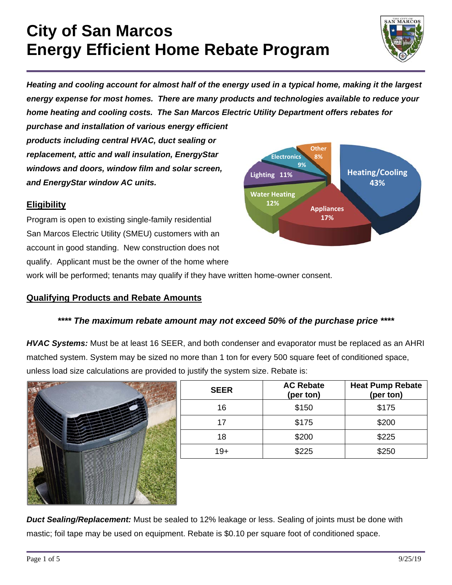

*Heating and cooling account for almost half of the energy used in a typical home, making it the largest energy expense for most homes. There are many products and technologies available to reduce your home heating and cooling costs. The San Marcos Electric Utility Department offers rebates for* 

*purchase and installation of various energy efficient products including central HVAC, duct sealing or replacement, attic and wall insulation, EnergyStar windows and doors, window film and solar screen, and EnergyStar window AC units.* 

#### **Eligibility**

Program is open to existing single-family residential San Marcos Electric Utility (SMEU) customers with an account in good standing. New construction does not qualify. Applicant must be the owner of the home where



work will be performed; tenants may qualify if they have written home-owner consent.

#### **Qualifying Products and Rebate Amounts**

#### *\*\*\*\* The maximum rebate amount may not exceed 50% of the purchase price \*\*\*\**

*HVAC Systems:* Must be at least 16 SEER, and both condenser and evaporator must be replaced as an AHRI matched system. System may be sized no more than 1 ton for every 500 square feet of conditioned space, unless load size calculations are provided to justify the system size. Rebate is:



| <b>SEER</b> | <b>AC Rebate</b><br>(per ton) | <b>Heat Pump Rebate</b><br>(per ton) |
|-------------|-------------------------------|--------------------------------------|
| 16          | \$150                         | \$175                                |
| 17          | \$175                         | \$200                                |
| 18          | \$200                         | \$225                                |
| 19+         | \$225                         | \$250                                |

*Duct Sealing/Replacement:* Must be sealed to 12% leakage or less. Sealing of joints must be done with mastic; foil tape may be used on equipment. Rebate is \$0.10 per square foot of conditioned space.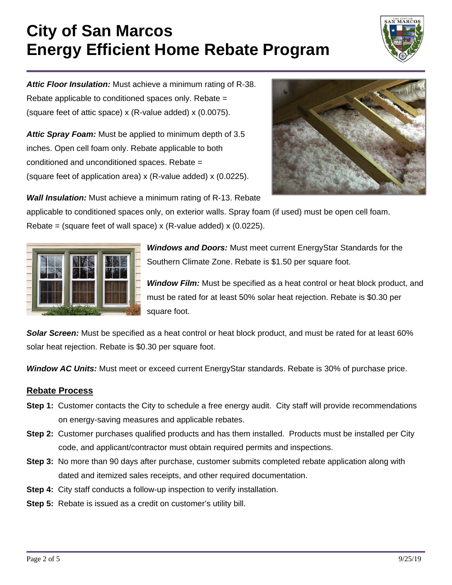

*Attic Floor Insulation:* Must achieve a minimum rating of R-38. Rebate applicable to conditioned spaces only. Rebate = (square feet of attic space) x (R-value added) x (0.0075).

*Attic Spray Foam:* Must be applied to minimum depth of 3.5 inches. Open cell foam only. Rebate applicable to both conditioned and unconditioned spaces. Rebate = (square feet of application area) x (R-value added) x (0.0225).



*Wall Insulation:* Must achieve a minimum rating of R-13. Rebate

applicable to conditioned spaces only, on exterior walls. Spray foam (if used) must be open cell foam. Rebate = (square feet of wall space)  $x$  (R-value added)  $x$  (0.0225).



*Windows and Doors:* Must meet current EnergyStar Standards for the Southern Climate Zone. Rebate is \$1.50 per square foot.

*Window Film:* Must be specified as a heat control or heat block product, and must be rated for at least 50% solar heat rejection. Rebate is \$0.30 per square foot.

*Solar Screen:* Must be specified as a heat control or heat block product, and must be rated for at least 60% solar heat rejection. Rebate is \$0.30 per square foot.

*Window AC Units:* Must meet or exceed current EnergyStar standards. Rebate is 30% of purchase price.

#### **Rebate Process**

- **Step 1:** Customer contacts the City to schedule a free energy audit. City staff will provide recommendations on energy-saving measures and applicable rebates.
- **Step 2:** Customer purchases qualified products and has them installed. Products must be installed per City code, and applicant/contractor must obtain required permits and inspections.
- **Step 3:** No more than 90 days after purchase, customer submits completed rebate application along with dated and itemized sales receipts, and other required documentation.
- **Step 4:** City staff conducts a follow-up inspection to verify installation.
- **Step 5:** Rebate is issued as a credit on customer's utility bill.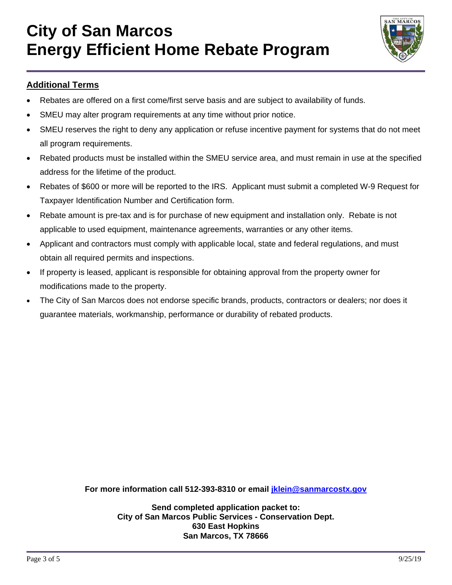

### **Additional Terms**

- Rebates are offered on a first come/first serve basis and are subject to availability of funds.
- SMEU may alter program requirements at any time without prior notice.
- SMEU reserves the right to deny any application or refuse incentive payment for systems that do not meet all program requirements.
- Rebated products must be installed within the SMEU service area, and must remain in use at the specified address for the lifetime of the product.
- Rebates of \$600 or more will be reported to the IRS. Applicant must submit a completed W-9 Request for Taxpayer Identification Number and Certification form.
- Rebate amount is pre-tax and is for purchase of new equipment and installation only. Rebate is not applicable to used equipment, maintenance agreements, warranties or any other items.
- Applicant and contractors must comply with applicable local, state and federal regulations, and must obtain all required permits and inspections.
- If property is leased, applicant is responsible for obtaining approval from the property owner for modifications made to the property.
- The City of San Marcos does not endorse specific brands, products, contractors or dealers; nor does it guarantee materials, workmanship, performance or durability of rebated products.

**For more information call 512-393-8310 or email jklein@sanmarcostx.gov** 

**Send completed application packet to: City of San Marcos Public Services - Conservation Dept. 630 East Hopkins San Marcos, TX 78666**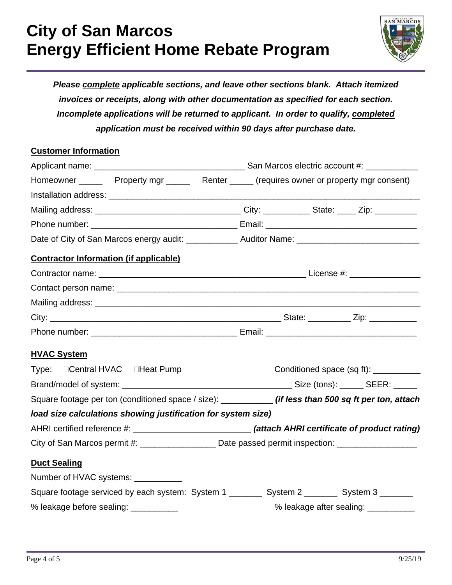

*Please complete applicable sections, and leave other sections blank. Attach itemized invoices or receipts, along with other documentation as specified for each section. Incomplete applications will be returned to applicant. In order to qualify, completed application must be received within 90 days after purchase date.* 

#### **Customer Information**

|                                                                                                         | Homeowner _________ Property mgr _________ Renter _______ (requires owner or property mgr consent) |  |                                       |
|---------------------------------------------------------------------------------------------------------|----------------------------------------------------------------------------------------------------|--|---------------------------------------|
|                                                                                                         |                                                                                                    |  |                                       |
|                                                                                                         |                                                                                                    |  |                                       |
|                                                                                                         |                                                                                                    |  |                                       |
|                                                                                                         |                                                                                                    |  |                                       |
|                                                                                                         |                                                                                                    |  |                                       |
| <b>Contractor Information (if applicable)</b>                                                           |                                                                                                    |  |                                       |
|                                                                                                         |                                                                                                    |  |                                       |
|                                                                                                         |                                                                                                    |  |                                       |
|                                                                                                         |                                                                                                    |  |                                       |
|                                                                                                         |                                                                                                    |  |                                       |
|                                                                                                         |                                                                                                    |  |                                       |
| <b>HVAC System</b>                                                                                      |                                                                                                    |  |                                       |
| Type: □ Central HVAC □ Heat Pump                                                                        |                                                                                                    |  | Conditioned space (sq ft): __________ |
|                                                                                                         |                                                                                                    |  |                                       |
| Square footage per ton (conditioned space / size): ____________ (if less than 500 sq ft per ton, attach |                                                                                                    |  |                                       |
| load size calculations showing justification for system size)                                           |                                                                                                    |  |                                       |
|                                                                                                         |                                                                                                    |  |                                       |
| City of San Marcos permit #: _____________________ Date passed permit inspection: __________________    |                                                                                                    |  |                                       |
| <b>Duct Sealing</b>                                                                                     |                                                                                                    |  |                                       |
| Number of HVAC systems: ___________                                                                     |                                                                                                    |  |                                       |
| Square footage serviced by each system: System 1 _________ System 2 _______ System 3 _______            |                                                                                                    |  |                                       |
| % leakage before sealing: ___________                                                                   |                                                                                                    |  | % leakage after sealing: ___________  |